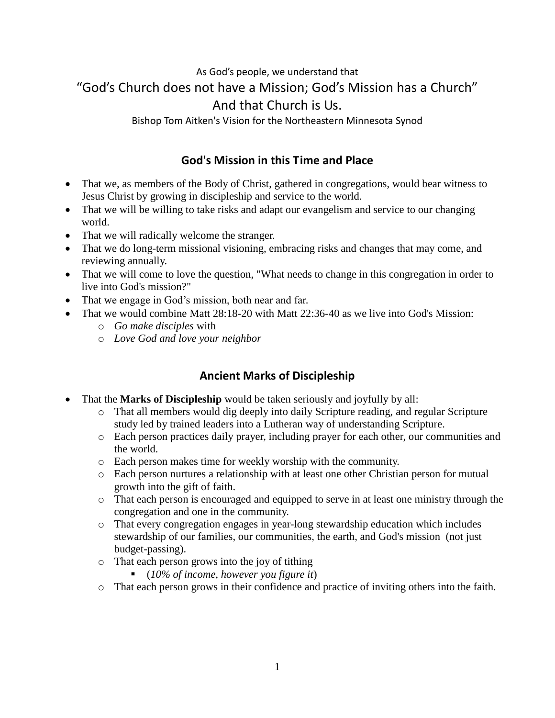# As God's people, we understand that "God's Church does not have a Mission; God's Mission has a Church" And that Church is Us.

Bishop Tom Aitken's Vision for the Northeastern Minnesota Synod

### **God's Mission in this Time and Place**

- That we, as members of the Body of Christ, gathered in congregations, would bear witness to Jesus Christ by growing in discipleship and service to the world.
- That we will be willing to take risks and adapt our evangelism and service to our changing world.
- That we will radically welcome the stranger.
- That we do long-term missional visioning, embracing risks and changes that may come, and reviewing annually.
- That we will come to love the question, "What needs to change in this congregation in order to live into God's mission?"
- That we engage in God's mission, both near and far.
- That we would combine Matt 28:18-20 with Matt 22:36-40 as we live into God's Mission:
	- o *Go make disciples* with
	- o *Love God and love your neighbor*

## **Ancient Marks of Discipleship**

- That the **Marks of Discipleship** would be taken seriously and joyfully by all:
	- o That all members would dig deeply into daily Scripture reading, and regular Scripture study led by trained leaders into a Lutheran way of understanding Scripture.
	- o Each person practices daily prayer, including prayer for each other, our communities and the world.
	- o Each person makes time for weekly worship with the community.
	- o Each person nurtures a relationship with at least one other Christian person for mutual growth into the gift of faith.
	- o That each person is encouraged and equipped to serve in at least one ministry through the congregation and one in the community.
	- o That every congregation engages in year-long stewardship education which includes stewardship of our families, our communities, the earth, and God's mission (not just budget-passing).
	- o That each person grows into the joy of tithing
		- (*10% of income, however you figure it*)
	- o That each person grows in their confidence and practice of inviting others into the faith.